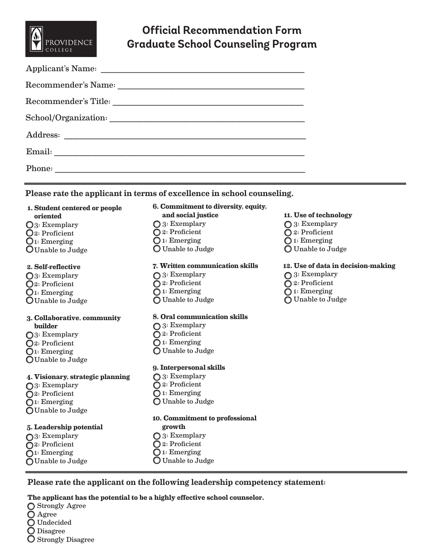

# **Official Recommendation Form Graduate School Counseling Program**

| Phone: |
|--------|
|        |

#### Please rate the applicant in terms of excellence in school counseling.

## **1. Student centered or people oriented** 3: Exemplary 2: Proficient

 $\mathbf{Q}_1$ : Emerging Unable to Judge

## **2. Self-reflective**

O<sub>3</sub>: Exemplary 2: Proficient  $\mathbb{O}$ 1: Emerging Unable to Judge

#### **3. Collaborative, community builder**

- O<sub>3</sub>: Exemplary 2: Proficient  $\mathbb{O}$ 1: Emerging
- Unable to Judge

## **4. Visionary, strategic planning**

- ◯3: Exemplary
- 2: Proficient
- $\bigcirc$ 1: Emerging Unable to Judge

#### **5. Leadership potential**

- ◯3: Exemplary
- 2: Proficient
- ◯1: Emerging
- Unable to Judge

# **6. Commitment to diversity, equity, and social justice** ◯ 3: Exemplary 2: Proficient 1: Emerging

Unable to Judge

#### **7. Written communication skills**

◯ 3: Exemplary 2: Proficient ◯ 1: Emerging Unable to Judge

#### **8. Oral communication skills**

- ◯ 3: Exemplary
- 2: Proficient
- ◯ 1: Emerging Unable to Judge
- **9. Interpersonal skills**
- ◯ 3: Exemplary 2: Proficient ◯ 1: Emerging Unable to Judge

# **10. Commitment to professional**

- **growth**
- ◯ 3: Exemplary
- 2: Proficient
- **Q** 1: Emerging
- Unable to Judge

# **11. Use of technology**

- ◯ 3: Exemplary
- 2: Proficient
- 1: Emerging
- Unable to Judge

## **12. Use of data in decision-making**

- ◯ 3: Exemplary
- 2: Proficient
- ◯ 1: Emerging
- Unable to Judge

Please rate the applicant on the following leadership competency statement:

#### **The applicant has the potential to be a highly effective school counselor.**

Strongly Agree Agree Undecided Disagree **O** Strongly Disagree